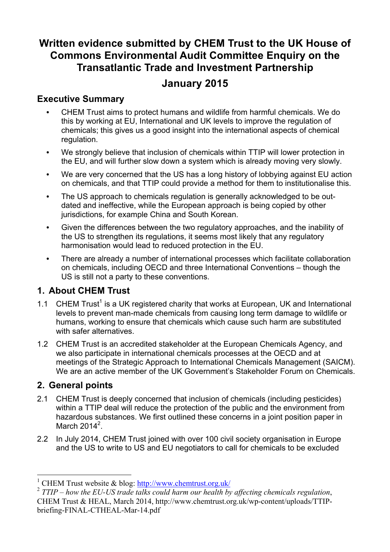# **Written evidence submitted by CHEM Trust to the UK House of Commons Environmental Audit Committee Enquiry on the Transatlantic Trade and Investment Partnership**

# **January 2015**

### **Executive Summary**

- **•** CHEM Trust aims to protect humans and wildlife from harmful chemicals. We do this by working at EU, International and UK levels to improve the regulation of chemicals; this gives us a good insight into the international aspects of chemical regulation.
- **•** We strongly believe that inclusion of chemicals within TTIP will lower protection in the EU, and will further slow down a system which is already moving very slowly.
- **•** We are very concerned that the US has a long history of lobbying against EU action on chemicals, and that TTIP could provide a method for them to institutionalise this.
- **•** The US approach to chemicals regulation is generally acknowledged to be outdated and ineffective, while the European approach is being copied by other jurisdictions, for example China and South Korean.
- **•** Given the differences between the two regulatory approaches, and the inability of the US to strengthen its regulations, it seems most likely that any regulatory harmonisation would lead to reduced protection in the EU.
- **•** There are already a number of international processes which facilitate collaboration on chemicals, including OECD and three International Conventions – though the US is still not a party to these conventions.

## **1. About CHEM Trust**

- 1.1 CHEM Trust<sup>1</sup> is a UK registered charity that works at European, UK and International levels to prevent man-made chemicals from causing long term damage to wildlife or humans, working to ensure that chemicals which cause such harm are substituted with safer alternatives.
- 1.2 CHEM Trust is an accredited stakeholder at the European Chemicals Agency, and we also participate in international chemicals processes at the OECD and at meetings of the Strategic Approach to International Chemicals Management (SAICM). We are an active member of the UK Government's Stakeholder Forum on Chemicals.

### **2. General points**

- 2.1 CHEM Trust is deeply concerned that inclusion of chemicals (including pesticides) within a TTIP deal will reduce the protection of the public and the environment from hazardous substances. We first outlined these concerns in a joint position paper in March 2014 $^2$ .
- 2.2 In July 2014, CHEM Trust joined with over 100 civil society organisation in Europe and the US to write to US and EU negotiators to call for chemicals to be excluded

<sup>&</sup>lt;sup>1</sup> CHEM Trust website & blog: http://www.chemtrust.org.uk/

<sup>2</sup> *TTIP – how the EU-US trade talks could harm our health by affecting chemicals regulation*, CHEM Trust & HEAL, March 2014, http://www.chemtrust.org.uk/wp-content/uploads/TTIPbriefing-FINAL-CTHEAL-Mar-14.pdf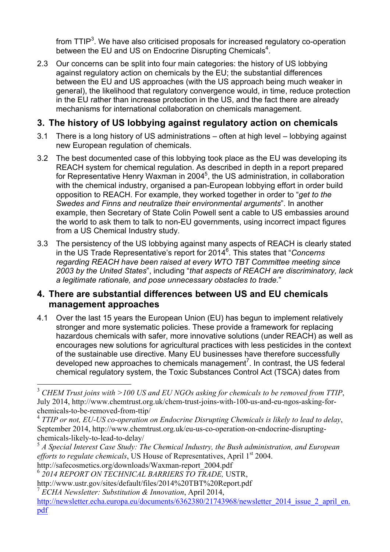from TTIP<sup>3</sup>. We have also criticised proposals for increased regulatory co-operation between the EU and US on Endocrine Disrupting Chemicals<sup>4</sup>.

2.3 Our concerns can be split into four main categories: the history of US lobbying against regulatory action on chemicals by the EU; the substantial differences between the EU and US approaches (with the US approach being much weaker in general), the likelihood that regulatory convergence would, in time, reduce protection in the EU rather than increase protection in the US, and the fact there are already mechanisms for international collaboration on chemicals management.

### **3. The history of US lobbying against regulatory action on chemicals**

- 3.1 There is a long history of US administrations often at high level lobbying against new European regulation of chemicals.
- 3.2 The best documented case of this lobbying took place as the EU was developing its REACH system for chemical regulation. As described in depth in a report prepared for Representative Henry Waxman in 2004<sup>5</sup>, the US administration, in collaboration with the chemical industry, organised a pan-European lobbying effort in order build opposition to REACH. For example, they worked together in order to "*get to the Swedes and Finns and neutralize their environmental arguments*". In another example, then Secretary of State Colin Powell sent a cable to US embassies around the world to ask them to talk to non-EU governments, using incorrect impact figures from a US Chemical Industry study.
- 3.3 The persistency of the US lobbying against many aspects of REACH is clearly stated in the US Trade Representative's report for 2014<sup>6</sup> . This states that "*Concerns regarding REACH have been raised at every WTO TBT Committee meeting since 2003 by the United States*", including "*that aspects of REACH are discriminatory, lack a legitimate rationale, and pose unnecessary obstacles to trade.*"

#### **4. There are substantial differences between US and EU chemicals management approaches**

4.1 Over the last 15 years the European Union (EU) has begun to implement relatively stronger and more systematic policies. These provide a framework for replacing hazardous chemicals with safer, more innovative solutions (under REACH) as well as encourages new solutions for agricultural practices with less pesticides in the context of the sustainable use directive. Many EU businesses have therefore successfully developed new approaches to chemicals management<sup>7</sup>. In contrast, the US federal chemical regulatory system, the Toxic Substances Control Act (TSCA) dates from

 <sup>3</sup> *CHEM Trust joins with >100 US and EU NGOs asking for chemicals to be removed from TTIP*, July 2014, http://www.chemtrust.org.uk/chem-trust-joins-with-100-us-and-eu-ngos-asking-forchemicals-to-be-removed-from-ttip/

<sup>4</sup> *TTIP or not, EU-US co-operation on Endocrine Disrupting Chemicals is likely to lead to delay*, September 2014, http://www.chemtrust.org.uk/eu-us-co-operation-on-endocrine-disruptingchemicals-likely-to-lead-to-delay/

<sup>5</sup> *A Special Interest Case Study: The Chemical Industry, the Bush administration, and European efforts to regulate chemicals*, US House of Representatives, April 1<sup>st</sup> 2004. http://safecosmetics.org/downloads/Waxman-report\_2004.pdf

<sup>6</sup> *2014 REPORT ON TECHNICAL BARRIERS TO TRADE,* USTR,

http://www.ustr.gov/sites/default/files/2014%20TBT%20Report.pdf

<sup>7</sup> *ECHA Newsletter: Substitution & Innovation*, April 2014,

http://newsletter.echa.europa.eu/documents/6362380/21743968/newsletter\_2014\_issue\_2\_april\_en. pdf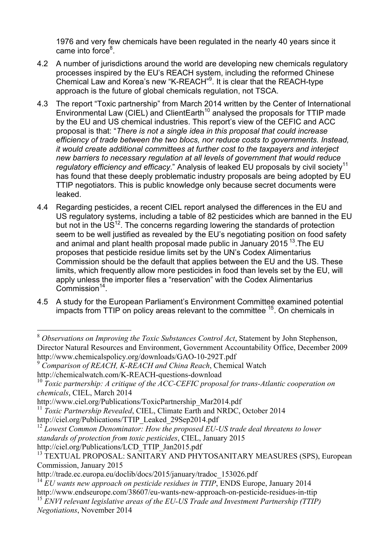1976 and very few chemicals have been regulated in the nearly 40 years since it came into force<sup>8</sup>.

- 4.2 A number of jurisdictions around the world are developing new chemicals regulatory processes inspired by the EU's REACH system, including the reformed Chinese Chemical Law and Korea's new "K-REACH"<sup>9</sup>. It is clear that the REACH-type approach is the future of global chemicals regulation, not TSCA.
- 4.3 The report "Toxic partnership" from March 2014 written by the Center of International Environmental Law (CIEL) and ClientEarth<sup>10</sup> analysed the proposals for TTIP made by the EU and US chemical industries. This report's view of the CEFIC and ACC proposal is that: "*There is not a single idea in this proposal that could increase efficiency of trade between the two blocs, nor reduce costs to governments. Instead, it would create additional committees at further cost to the taxpayers and interject new barriers to necessary regulation at all levels of government that would reduce regulatory efficiency and efficacy*." Analysis of leaked EU proposals by civil society<sup>11</sup> has found that these deeply problematic industry proposals are being adopted by EU TTIP negotiators. This is public knowledge only because secret documents were leaked.
- 4.4 Regarding pesticides, a recent CIEL report analysed the differences in the EU and US regulatory systems, including a table of 82 pesticides which are banned in the EU but not in the  $US<sup>12</sup>$ . The concerns regarding lowering the standards of protection seem to be well justified as revealed by the EU's negotiating position on food safety and animal and plant health proposal made public in January 2015  $^{13}$ . The EU proposes that pesticide residue limits set by the UN's Codex Alimentarius Commission should be the default that applies between the EU and the US. These limits, which frequently allow more pesticides in food than levels set by the EU, will apply unless the importer files a "reservation" with the Codex Alimentarius Commission $14$ .
- 4.5 A study for the European Parliament's Environment Committee examined potential impacts from TTIP on policy areas relevant to the committee  $15$ . On chemicals in

 <sup>8</sup> *Observations on Improving the Toxic Substances Control Act*, Statement by John Stephenson, Director Natural Resources and Environment, Government Accountability Office, December 2009 http://www.chemicalspolicy.org/downloads/GAO-10-292T.pdf

<sup>9</sup> *Comparison of REACH, K-REACH and China Reach*, Chemical Watch

http://chemicalwatch.com/K-REACH-questions-download

<sup>10</sup> *Toxic partnership: A critique of the ACC-CEFIC proposal for trans-Atlantic cooperation on chemicals*, CIEL, March 2014

http://www.ciel.org/Publications/ToxicPartnership\_Mar2014.pdf

<sup>&</sup>lt;sup>11</sup> *Toxic Partnership Revealed*, CIEL, Climate Earth and NRDC, October 2014

http://ciel.org/Publications/TTIP\_Leaked\_29Sep2014.pdf

<sup>12</sup> *Lowest Common Denominator: How the proposed EU-US trade deal threatens to lower standards of protection from toxic pesticides*, CIEL, January 2015 http://ciel.org/Publications/LCD\_TTIP\_Jan2015.pdf

<sup>&</sup>lt;sup>13</sup> TEXTUAL PROPOSAL: SANITARY AND PHYTOSANITARY MEASURES (SPS), European Commission, January 2015

http://trade.ec.europa.eu/doclib/docs/2015/january/tradoc\_153026.pdf

<sup>14</sup> *EU wants new approach on pesticide residues in TTIP*, ENDS Europe, January 2014 http://www.endseurope.com/38607/eu-wants-new-approach-on-pesticide-residues-in-ttip

<sup>&</sup>lt;sup>15</sup> *ENVI relevant legislative areas of the EU-US Trade and Investment Partnership (TTIP)* 

*Negotiations*, November 2014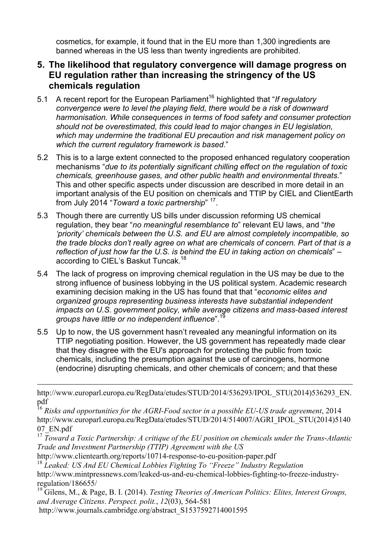cosmetics, for example, it found that in the EU more than 1,300 ingredients are banned whereas in the US less than twenty ingredients are prohibited.

#### **5. The likelihood that regulatory convergence will damage progress on EU regulation rather than increasing the stringency of the US chemicals regulation**

- 5.1 A recent report for the European Parliament<sup>16</sup> highlighted that "*If regulatory convergence were to level the playing field, there would be a risk of downward harmonisation. While consequences in terms of food safety and consumer protection should not be overestimated, this could lead to major changes in EU legislation, which may undermine the traditional EU precaution and risk management policy on which the current regulatory framework is based.*"
- 5.2 This is to a large extent connected to the proposed enhanced regulatory cooperation mechanisms "*due to its potentially significant chilling effect on the regulation of toxic chemicals, greenhouse gases, and other public health and environmental threats.*" This and other specific aspects under discussion are described in more detail in an important analysis of the EU position on chemicals and TTIP by CIEL and ClientEarth from July 2014 "*Toward a toxic partnership*" 17.
- 5.3 Though there are currently US bills under discussion reforming US chemical regulation, they bear "*no meaningful resemblance to*" relevant EU laws, and "*the 'priority' chemicals between the U.S. and EU are almost completely incompatible, so the trade blocks don't really agree on what are chemicals of concern. Part of that is a reflection of just how far the U.S. is behind the EU in taking action on chemicals*" – according to CIEL's Baskut Tuncak.<sup>18</sup>
- 5.4 The lack of progress on improving chemical regulation in the US may be due to the strong influence of business lobbying in the US political system. Academic research examining decision making in the US has found that that "*economic elites and organized groups representing business interests have substantial independent impacts on U.S. government policy, while average citizens and mass-based interest groups have little or no independent influence*".19
- 5.5 Up to now, the US government hasn't revealed any meaningful information on its TTIP negotiating position. However, the US government has repeatedly made clear that they disagree with the EU's approach for protecting the public from toxic chemicals, including the presumption against the use of carcinogens, hormone (endocrine) disrupting chemicals, and other chemicals of concern; and that these

http://www.europarl.europa.eu/RegData/etudes/STUD/2014/536293/IPOL\_STU(2014)536293\_EN. pdf

<sup>16</sup> *Risks and opportunities for the AGRI-Food sector in a possible EU-US trade agreement*, 2014 http://www.europarl.europa.eu/RegData/etudes/STUD/2014/514007/AGRI\_IPOL\_STU(2014)5140 07\_EN.pdf

<sup>17</sup> *Toward a Toxic Partnership: A critique of the EU position on chemicals under the Trans-Atlantic Trade and Investment Partnership (TTIP) Agreement with the US*

http://www.clientearth.org/reports/10714-response-to-eu-position-paper.pdf

<sup>18</sup> *Leaked: US And EU Chemical Lobbies Fighting To "Freeze" Industry Regulation* http://www.mintpressnews.com/leaked-us-and-eu-chemical-lobbies-fighting-to-freeze-industryregulation/186655/

- <sup>19</sup> Gilens, M., & Page, B. I. (2014). *Testing Theories of American Politics: Elites, Interest Groups, and Average Citizens*. *Perspect. polit.*, *12*(03), 564-581
- http://www.journals.cambridge.org/abstract\_S1537592714001595

 $\overline{a}$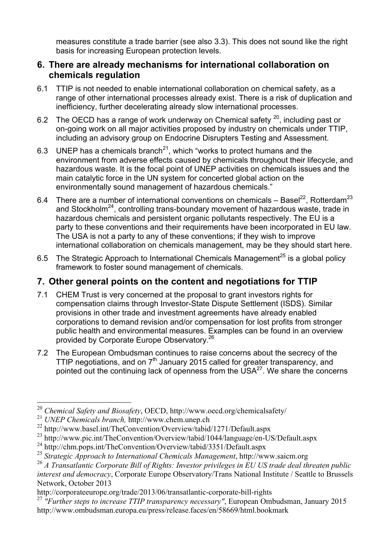measures constitute a trade barrier (see also 3.3). This does not sound like the right basis for increasing European protection levels.

#### **6. There are already mechanisms for international collaboration on chemicals regulation**

- 6.1 TTIP is not needed to enable international collaboration on chemical safety, as a range of other international processes already exist. There is a risk of duplication and inefficiency, further decelerating already slow international processes.
- 6.2 The OECD has a range of work underway on Chemical safety  $20$ , including past or on-going work on all major activities proposed by industry on chemicals under TTIP, including an advisory group on Endocrine Disrupters Testing and Assessment.
- 6.3 UNEP has a chemicals branch<sup>21</sup>, which "works to protect humans and the environment from adverse effects caused by chemicals throughout their lifecycle, and hazardous waste. It is the focal point of UNEP activities on chemicals issues and the main catalytic force in the UN system for concerted global action on the environmentally sound management of hazardous chemicals."
- 6.4 There are a number of international conventions on chemicals Basel<sup>22</sup>, Rotterdam<sup>23</sup> and Stockholm<sup>24</sup>, controlling trans-boundary movement of hazardous waste, trade in hazardous chemicals and persistent organic pollutants respectively. The EU is a party to these conventions and their requirements have been incorporated in EU law. The USA is not a party to any of these conventions; if they wish to improve international collaboration on chemicals management, may be they should start here.
- 6.5 The Strategic Approach to International Chemicals Management<sup>25</sup> is a global policy framework to foster sound management of chemicals.

### **7. Other general points on the content and negotiations for TTIP**

- 7.1 CHEM Trust is very concerned at the proposal to grant investors rights for compensation claims through Investor-State Dispute Settlement (ISDS). Similar provisions in other trade and investment agreements have already enabled corporations to demand revision and/or compensation for lost profits from stronger public health and environmental measures. Examples can be found in an overview provided by Corporate Europe Observatory.<sup>26</sup>
- 7.2 The European Ombudsman continues to raise concerns about the secrecy of the TTIP negotiations, and on  $7<sup>th</sup>$  January 2015 called for greater transparency, and pointed out the continuing lack of openness from the  $USA^{27}$ . We share the concerns

 <sup>20</sup> *Chemical Safety and Biosafety*, OECD, http://www.oecd.org/chemicalsafety/

<sup>21</sup> *UNEP Chemicals branch,* http://www.chem.unep.ch

<sup>22</sup> http://www.basel.int/TheConvention/Overview/tabid/1271/Default.aspx

<sup>&</sup>lt;sup>23</sup> http://www.pic.int/TheConvention/Overview/tabid/1044/language/en-US/Default.aspx

<sup>&</sup>lt;sup>24</sup> http://chm.pops.int/TheConvention/Overview/tabid/3351/Default.aspx

<sup>25</sup> *Strategic Approach to International Chemicals Management*, http://www.saicm.org

<sup>26</sup> *A Transatlantic Corporate Bill of Rights: Investor privileges in EU US trade deal threaten public interest and democracy*, Corporate Europe Observatory/Trans National Institute / Seattle to Brussels Network, October 2013

http://corporateeurope.org/trade/2013/06/transatlantic-corporate-bill-rights

<sup>27</sup> *"Further steps to increase TTIP transparency necessary"*, European Ombudsman, January 2015 http://www.ombudsman.europa.eu/press/release.faces/en/58669/html.bookmark